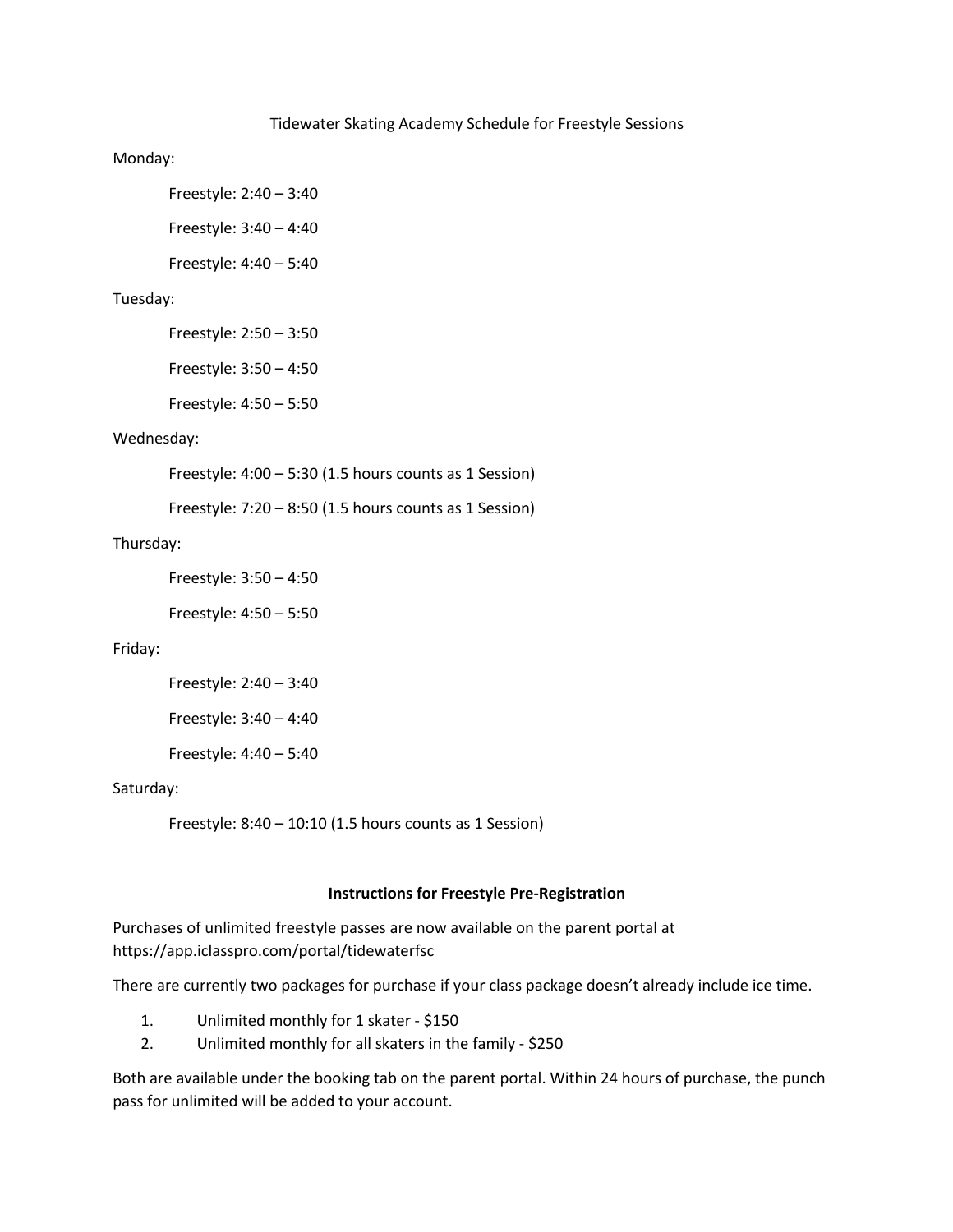#### Tidewater Skating Academy Schedule for Freestyle Sessions

#### Monday:

Freestyle: 2:40 – 3:40

Freestyle: 3:40 – 4:40

Freestyle: 4:40 – 5:40

# Tuesday:

Freestyle: 2:50 – 3:50

Freestyle: 3:50 – 4:50

Freestyle: 4:50 – 5:50

## Wednesday:

Freestyle: 4:00 – 5:30 (1.5 hours counts as 1 Session)

Freestyle: 7:20 – 8:50 (1.5 hours counts as 1 Session)

### Thursday:

Freestyle: 3:50 – 4:50

Freestyle: 4:50 – 5:50

### Friday:

Freestyle: 2:40 – 3:40 Freestyle: 3:40 – 4:40 Freestyle: 4:40 – 5:40

#### Saturday:

Freestyle: 8:40 – 10:10 (1.5 hours counts as 1 Session)

#### **Instructions for Freestyle Pre-Registration**

Purchases of unlimited freestyle passes are now available on the parent portal at https://app.iclasspro.com/portal/tidewaterfsc

There are currently two packages for purchase if your class package doesn't already include ice time.

- 1. Unlimited monthly for 1 skater \$150
- 2. Unlimited monthly for all skaters in the family \$250

Both are available under the booking tab on the parent portal. Within 24 hours of purchase, the punch pass for unlimited will be added to your account.